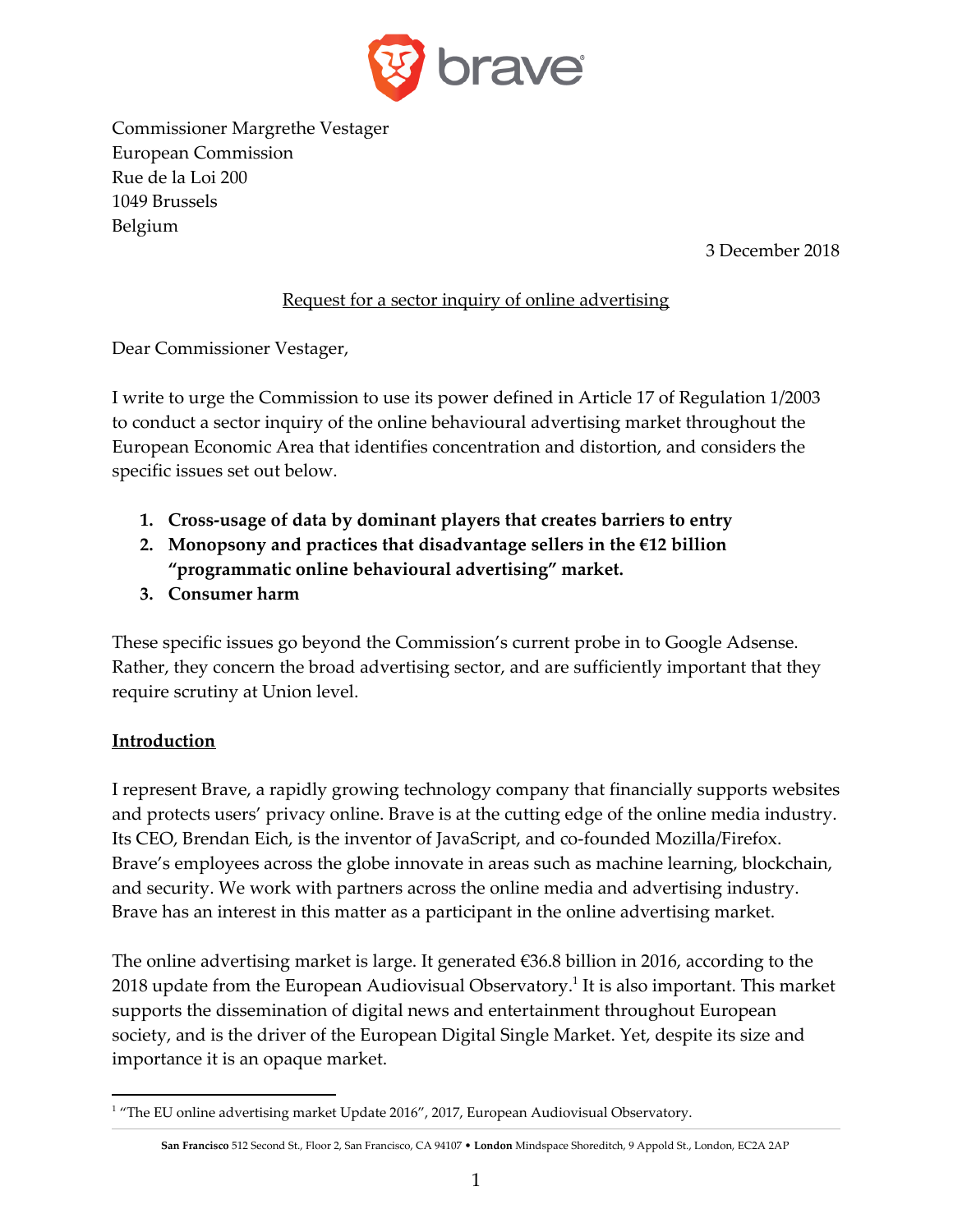

Commissioner Margrethe Vestager European Commission Rue de la Loi 200 1049 Brussels Belgium

3 December 2018

#### Request for a sector inquiry of online advertising

Dear Commissioner Vestager,

I write to urge the Commission to use its power defined in Article 17 of Regulation 1/2003 to conduct a sector inquiry of the online behavioural advertising market throughout the European Economic Area that identifies concentration and distortion, and considers the specific issues set out below.

- **1. Cross-usage of data by dominant players that creates barriers to entry**
- **2. Monopsony and practices that disadvantage sellers in the €12 billion "programmatic online behavioural advertising" market.**
- **3. Consumer harm**

These specific issues go beyond the Commission's current probe in to Google Adsense. Rather, they concern the broad advertising sector, and are sufficiently important that they require scrutiny at Union level.

#### **Introduction**

I represent Brave, a rapidly growing technology company that financially supports websites and protects users' privacy online. Brave is at the cutting edge of the online media industry. Its CEO, Brendan Eich, is the inventor of JavaScript, and co-founded Mozilla/Firefox. Brave's employees across the globe innovate in areas such as machine learning, blockchain, and security. We work with partners across the online media and advertising industry. Brave has an interest in this matter as a participant in the online advertising market.

The online advertising market is large. It generated €36.8 billion in 2016, according to the 2018 update from the European Audiovisual Observatory. $^{\rm 1}$  It is also important. This market supports the dissemination of digital news and entertainment throughout European society, and is the driver of the European Digital Single Market. Yet, despite its size and importance it is an opaque market.

<sup>1</sup> "The EU online advertising market Update 2016", 2017, European Audiovisual Observatory.

**San Francisco** 512 Second St., Floor 2, San Francisco, CA 94107 • **London** Mindspace Shoreditch, 9 Appold St., London, EC2A 2AP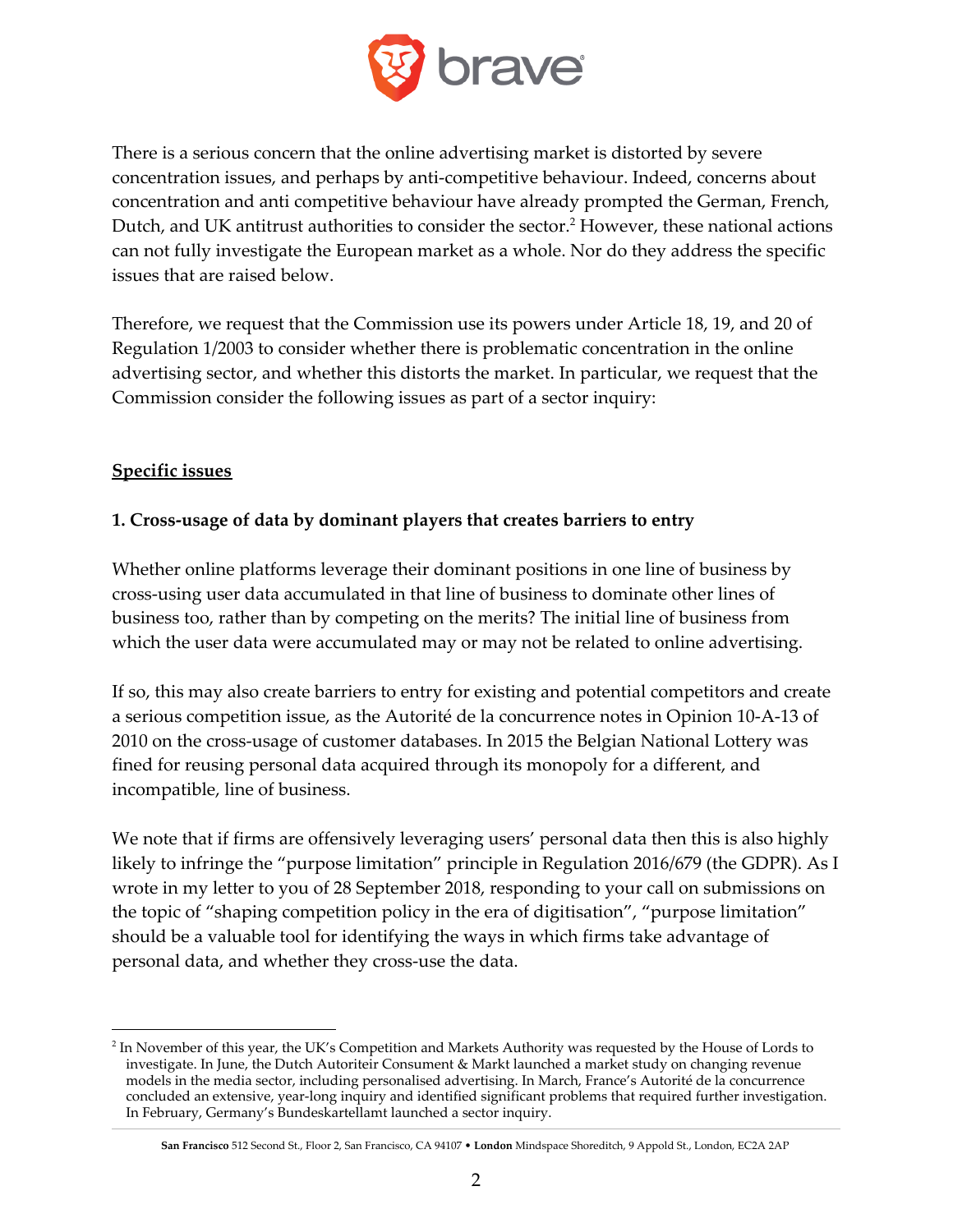

There is a serious concern that the online advertising market is distorted by severe concentration issues, and perhaps by anti-competitive behaviour. Indeed, concerns about concentration and anti competitive behaviour have already prompted the German, French, Dutch, and UK antitrust authorities to consider the sector.<sup>2</sup> However, these national actions can not fully investigate the European market as a whole. Nor do they address the specific issues that are raised below.

Therefore, we request that the Commission use its powers under Article 18, 19, and 20 of Regulation 1/2003 to consider whether there is problematic concentration in the online advertising sector, and whether this distorts the market. In particular, we request that the Commission consider the following issues as part of a sector inquiry:

## **Specific issues**

## **1. Cross-usage of data by dominant players that creates barriers to entry**

Whether online platforms leverage their dominant positions in one line of business by cross-using user data accumulated in that line of business to dominate other lines of business too, rather than by competing on the merits? The initial line of business from which the user data were accumulated may or may not be related to online advertising.

If so, this may also create barriers to entry for existing and potential competitors and create a serious competition issue, as the Autorité de la concurrence notes in Opinion 10-A-13 of 2010 on the cross-usage of customer databases. In 2015 the Belgian National Lottery was fined for reusing personal data acquired through its monopoly for a different, and incompatible, line of business.

We note that if firms are offensively leveraging users' personal data then this is also highly likely to infringe the "purpose limitation" principle in Regulation 2016/679 (the GDPR). As I wrote in my letter to you of 28 September 2018, responding to your call on submissions on the topic of "shaping competition policy in the era of digitisation", "purpose limitation" should be a valuable tool for identifying the ways in which firms take advantage of personal data, and whether they cross-use the data.

<sup>&</sup>lt;sup>2</sup> In November of this year, the UK's Competition and Markets Authority was requested by the House of Lords to investigate. In June, the Dutch Autoriteir Consument & Markt launched a market study on changing revenue models in the media sector, including personalised advertising. In March, France's Autorité de la concurrence concluded an extensive, year-long inquiry and identified significant problems that required further investigation. In February, Germany's Bundeskartellamt launched a sector inquiry.

**San Francisco** 512 Second St., Floor 2, San Francisco, CA 94107 • **London** Mindspace Shoreditch, 9 Appold St., London, EC2A 2AP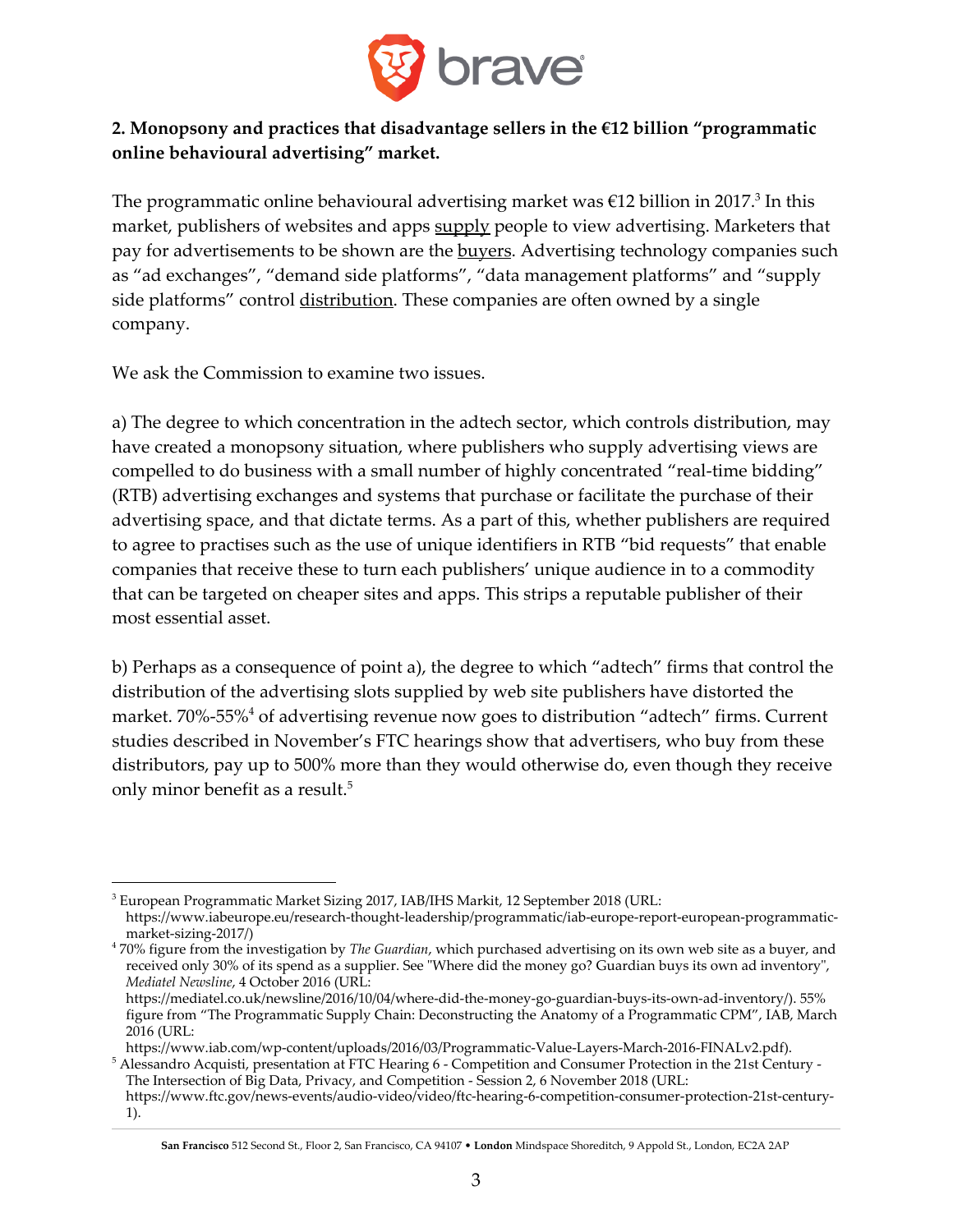

# **2. Monopsony and practices that disadvantage sellers in the €12 billion "programmatic online behavioural advertising" market.**

The programmatic online behavioural advertising market was  $\epsilon$ 12 billion in 2017. $^3$  In this market, publishers of websites and apps supply people to view advertising. Marketers that pay for advertisements to be shown are the **buyers**. Advertising technology companies such as "ad exchanges", "demand side platforms", "data management platforms" and "supply side platforms" control distribution. These companies are often owned by a single company.

We ask the Commission to examine two issues.

a) The degree to which concentration in the adtech sector, which controls distribution, may have created a monopsony situation, where publishers who supply advertising views are compelled to do business with a small number of highly concentrated "real-time bidding" (RTB) advertising exchanges and systems that purchase or facilitate the purchase of their advertising space, and that dictate terms. As a part of this, whether publishers are required to agree to practises such as the use of unique identifiers in RTB "bid requests" that enable companies that receive these to turn each publishers' unique audience in to a commodity that can be targeted on cheaper sites and apps. This strips a reputable publisher of their most essential asset.

b) Perhaps as a consequence of point a), the degree to which "adtech" firms that control the distribution of the advertising slots supplied by web site publishers have distorted the market. 70%-55% $^4$  of advertising revenue now goes to distribution "adtech" firms. Current studies described in November's FTC hearings show that advertisers, who buy from these distributors, pay up to 500% more than they would otherwise do, even though they receive only minor benefit as a result. 5

 $^3$  European Programmatic Market Sizing 2017, IAB/IHS Markit, 12 September 2018 (URL: https://www.iabeurope.eu/research-thought-leadership/programmatic/iab-europe-report-european-programmaticmarket-sizing-2017/)

<sup>4</sup> 70% figure from the investigation by *The Guardian*, which purchased advertising on its own web site as a buyer, and received only 30% of its spend as a supplier. See "Where did the money go? Guardian buys its own ad inventory", *Mediatel Newsline*, 4 October 2016 (URL:

https://mediatel.co.uk/newsline/2016/10/04/where-did-the-money-go-guardian-buys-its-own-ad-inventory/). 55% figure from "The Programmatic Supply Chain: Deconstructing the Anatomy of a Programmatic CPM", IAB, March 2016 (URL:

https://www.iab.com/wp-content/uploads/2016/03/Programmatic-Value-Layers-March-2016-FINALv2.pdf). 5 Alessandro Acquisti, presentation at FTC Hearing 6 - Competition and Consumer Protection in the 21st Century - The Intersection of Big Data, Privacy, and Competition - Session 2, 6 November 2018 (URL:

https://www.ftc.gov/news-events/audio-video/video/ftc-hearing-6-competition-consumer-protection-21st-century-1).

**San Francisco** 512 Second St., Floor 2, San Francisco, CA 94107 • **London** Mindspace Shoreditch, 9 Appold St., London, EC2A 2AP